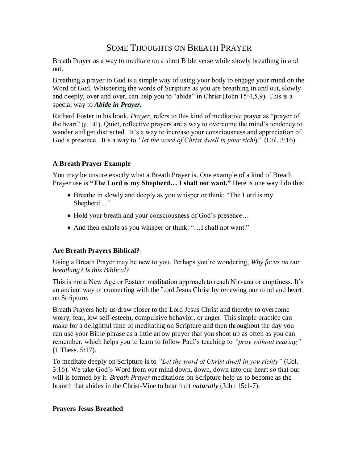# SOME THOUGHTS ON BREATH PRAYER

Breath Prayer as a way to meditate on a short Bible verse while slowly breathing in and out.

Breathing a prayer to God is a simple way of using your body to engage your mind on the Word of God. Whispering the words of Scripture as you are breathing in and out, slowly and deeply, over and over, can help you to "abide" in Christ (John 15:4,5,9). This is a special way to *[Abide in Prayer.](http://soulshepherding.org/2008/07/abide-in-prayer/)*

Richard Foster in his book, *Prayer*, refers to this kind of meditative prayer as "prayer of the heart" (p. 141). Quiet, reflective prayers are a way to overcome the mind's tendency to wander and get distracted. It's a way to increase your consciousness and appreciation of God's presence. It's a way to *"let the word of Christ dwell in your richly"* (Col. 3:16).

## **A Breath Prayer Example**

You may be unsure exactly what a Breath Prayer is. One example of a kind of Breath Prayer use is **"The Lord is my Shepherd… I shall not want."** Here is one way I do this:

- Breathe in slowly and deeply as you whisper or think: "The Lord is my Shepherd…"
- Hold your breath and your consciousness of God's presence...
- And then exhale as you whisper or think: "... I shall not want."

### **Are Breath Prayers Biblical?**

Using a Breath Prayer may be new to you. Perhaps you're wondering, *Why focus on our breathing? Is this Biblical?*

This is not a New Age or Eastern meditation approach to reach Nirvana or emptiness. It's an ancient way of connecting with the Lord Jesus Christ by renewing our mind and heart on Scripture.

Breath Prayers help us draw closer to the Lord Jesus Christ and thereby to overcome worry, fear, low self-esteem, compulsive behavior, or anger. This simple practice can make for a delightful time of meditating on Scripture and then throughout the day you can use your Bible phrase as a little arrow prayer that you shoot up as often as you can remember, which helps you to learn to follow Paul's teaching to *"pray without ceasing"* (1 Thess. 5:17).

To meditate deeply on Scripture is to *"Let the word of Christ dwell in you richly"* (Col. 3:16). We take God's Word from our mind down, down, down into our heart so that our will is formed by it. *Breath Prayer* meditations on Scripture help us to become as the branch that abides in the Christ-Vine to bear fruit *naturally* (John 15:1-7).

#### **Prayers Jesus Breathed**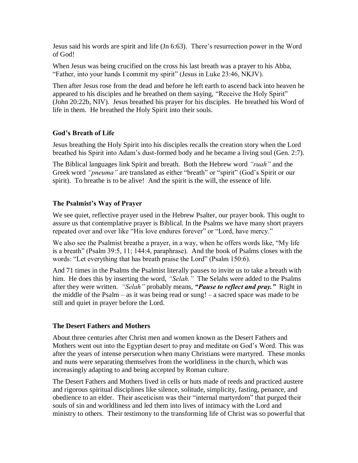Jesus said his words are spirit and life (Jn 6:63). There's resurrection power in the Word of God!

When Jesus was being crucified on the cross his last breath was a prayer to his Abba, "Father, into your hands I commit my spirit" (Jesus in Luke 23:46, NKJV).

Then after Jesus rose from the dead and before he left earth to ascend back into heaven he appeared to his disciples and he breathed on them saying, "Receive the Holy Spirit" (John 20:22b, NIV). Jesus breathed his prayer for his disciples. He breathed his Word of life in them. He breathed the Holy Spirit into their souls.

## **God's Breath of Life**

Jesus breathing the Holy Spirit into his disciples recalls the creation story when the Lord breathed his Spirit into Adam's dust-formed body and he became a living soul (Gen. 2:7).

The Biblical languages link Spirit and breath. Both the Hebrew word *"ruah"* and the Greek word *"pneuma"* are translated as either "breath" or "spirit" (God's Spirit or our spirit). To breathe is to be alive! And the spirit is the will, the essence of life.

## **The Psalmist's Way of Prayer**

We see quiet, reflective prayer used in the Hebrew Psalter, our prayer book. This ought to assure us that contemplative prayer is Biblical. In the Psalms we have many short prayers repeated over and over like "His love endures forever" or "Lord, have mercy."

We also see the Psalmist breathe a prayer, in a way, when he offers words like, "My life" is a breath" (Psalm 39:5, 11; 144:4, paraphrase). And the book of Psalms closes with the words: "Let everything that has breath praise the Lord" (Psalm 150:6).

And 71 times in the Psalms the Psalmist literally pauses to invite us to take a breath with him. He does this by inserting the word, *"Selah."* The Selahs were added to the Psalms after they were written. *"Selah"* probably means, *"Pause to reflect and pray."* Right in the middle of the Psalm – as it was being read or sung! – a sacred space was made to be still and quiet in prayer before the Lord.

# **The Desert Fathers and Mothers**

About three centuries after Christ men and women known as the Desert Fathers and Mothers went out into the Egyptian desert to pray and meditate on God's Word. This was after the years of intense persecution when many Christians were martyred. These monks and nuns were separating themselves from the worldliness in the church, which was increasingly adapting to and being accepted by Roman culture.

The Desert Fathers and Mothers lived in cells or huts made of reeds and practiced austere and rigorous spiritual disciplines like silence, solitude, simplicity, fasting, penance, and obedience to an elder. Their asceticism was their "internal martyrdom" that purged their souls of sin and worldliness and led them into lives of intimacy with the Lord and ministry to others. Their testimony to the transforming life of Christ was so powerful that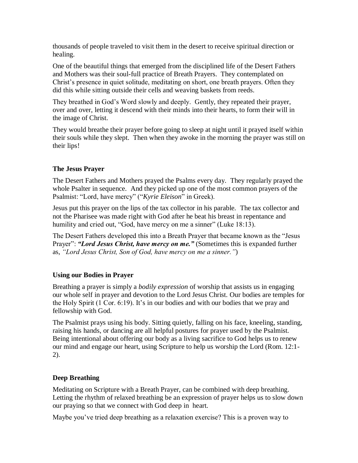thousands of people traveled to visit them in the desert to receive spiritual direction or healing.

One of the beautiful things that emerged from the disciplined life of the Desert Fathers and Mothers was their soul-full practice of Breath Prayers. They contemplated on Christ's presence in quiet solitude, meditating on short, one breath prayers. Often they did this while sitting outside their cells and weaving baskets from reeds.

They breathed in God's Word slowly and deeply. Gently, they repeated their prayer, over and over, letting it descend with their minds into their hearts, to form their will in the image of Christ.

They would breathe their prayer before going to sleep at night until it prayed itself within their souls while they slept. Then when they awoke in the morning the prayer was still on their lips!

### **The Jesus Prayer**

The Desert Fathers and Mothers prayed the Psalms every day. They regularly prayed the whole Psalter in sequence. And they picked up one of the most common prayers of the Psalmist: "Lord, have mercy" ("*Kyrie Eleison*" in Greek).

Jesus put this prayer on the lips of the tax collector in his parable. The tax collector and not the Pharisee was made right with God after he beat his breast in repentance and humility and cried out, "God, have mercy on me a sinner" (Luke 18:13).

The Desert Fathers developed this into a Breath Prayer that became known as the "Jesus Prayer": "Lord Jesus Christ, have mercy on me." (Sometimes this is expanded further as, *"Lord Jesus Christ, Son of God, have mercy on me a sinner."*)

### **Using our Bodies in Prayer**

Breathing a prayer is simply a *bodily expression* of worship that assists us in engaging our whole self in prayer and devotion to the Lord Jesus Christ. Our bodies are temples for the Holy Spirit (1 Cor. 6:19). It's in our bodies and with our bodies that we pray and fellowship with God.

The Psalmist prays using his body. Sitting quietly, falling on his face, kneeling, standing, raising his hands, or dancing are all helpful postures for prayer used by the Psalmist. Being intentional about offering our body as a living sacrifice to God helps us to renew our mind and engage our heart, using Scripture to help us worship the Lord (Rom. 12:1- 2).

# **Deep Breathing**

Meditating on Scripture with a Breath Prayer, can be combined with deep breathing. Letting the rhythm of relaxed breathing be an expression of prayer helps us to slow down our praying so that we connect with God deep in heart.

Maybe you've tried deep breathing as a relaxation exercise? This is a proven way to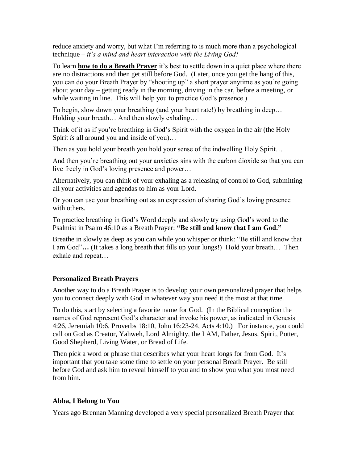reduce anxiety and worry, but what I'm referring to is much more than a psychological technique – *it's a mind and heart interaction with the Living God!*

To learn **how to do a Breath Prayer** it's best to settle down in a quiet place where there are no distractions and then get still before God. (Later, once you get the hang of this, you can do your Breath Prayer by "shooting up" a short prayer anytime as you're going about your day – getting ready in the morning, driving in the car, before a meeting, or while waiting in line. This will help you to practice God's presence.)

To begin, slow down your breathing (and your heart rate!) by breathing in deep… Holding your breath… And then slowly exhaling…

Think of it as if you're breathing in God's Spirit with the oxygen in the air (the Holy Spirit *is* all around you and inside of you)…

Then as you hold your breath you hold your sense of the indwelling Holy Spirit…

And then you're breathing out your anxieties sins with the carbon dioxide so that you can live freely in God's loving presence and power…

Alternatively, you can think of your exhaling as a releasing of control to God, submitting all your activities and agendas to him as your Lord.

Or you can use your breathing out as an expression of sharing God's loving presence with others.

To practice breathing in God's Word deeply and slowly try using God's word to the Psalmist in Psalm 46:10 as a Breath Prayer: **"Be still and know that I am God."**

Breathe in slowly as deep as you can while you whisper or think: "Be still and know that I am God"**…** (It takes a long breath that fills up your lungs!) Hold your breath… Then exhale and repeat…

#### **Personalized Breath Prayers**

Another way to do a Breath Prayer is to develop your own personalized prayer that helps you to connect deeply with God in whatever way you need it the most at that time.

To do this, start by selecting a favorite name for God. (In the Biblical conception the names of God represent God's character and invoke his power, as indicated in Genesis 4:26, Jeremiah 10:6, Proverbs 18:10, John 16:23-24, Acts 4:10.) For instance, you could call on God as Creator, Yahweh, Lord Almighty, the I AM, Father, Jesus, Spirit, Potter, Good Shepherd, Living Water, or Bread of Life.

Then pick a word or phrase that describes what your heart longs for from God. It's important that you take some time to settle on your personal Breath Prayer. Be still before God and ask him to reveal himself to you and to show you what you most need from him.

#### **Abba, I Belong to You**

Years ago Brennan Manning developed a very special personalized Breath Prayer that